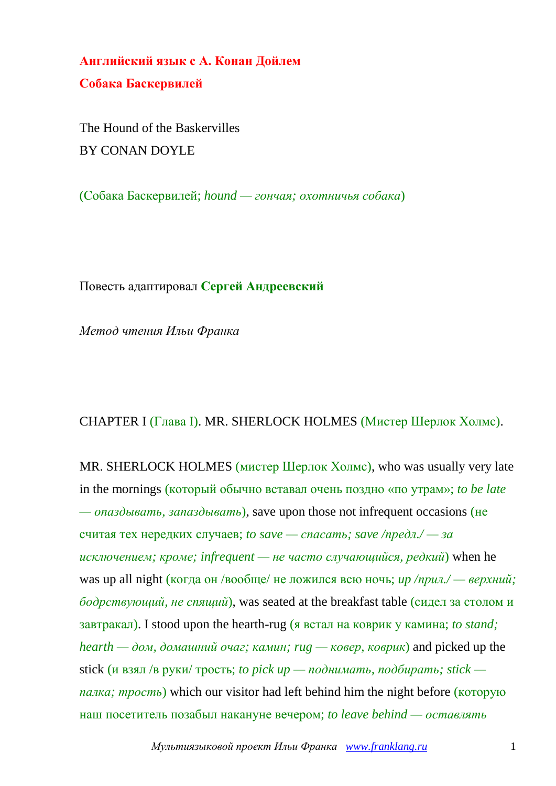**Английский язык с А. Конан Дойлем Собака Баскервилей**

The Hound of the Baskervilles BY CONAN DOYLE

(Собака Баскервилей; *hound — гончая; охотничья собака*)

Повесть адаптировал **Сергей Андреевский**

*Метод чтения Ильи Франка*

#### CHAPTER I (Глава I). MR. SHERLOCK HOLMES (Мистер Шерлок Холмс).

MR. SHERLOCK HOLMES (мистер Шерлок Холмс), who was usually very late in the mornings (который обычно вставал очень поздно «по утрам»; *to be late — опаздывать, запаздывать*), save upon those not infrequent occasions (не считая тех нередких случаев; *to save — спасать; save /предл./ — за исключением; кроме; infrequent — не часто случающийся, редкий*) when he was up all night (когда он /вообще/ не ложился всю ночь; *up /прил./ — верхний; бодрствующий, не спящий*), was seated at the breakfast table (сидел за столом и завтракал). I stood upon the hearth-rug (я встал на коврик у камина; *to stand; hearth — дом, домашний очаг; камин; rug — ковер, коврик*) and picked up the stick (и взял /в руки/ трость; *to pick up — поднимать, подбирать; stick палка; трость*) which our visitor had left behind him the night before (которую наш посетитель позабыл накануне вечером; *to leave behind — оставлять*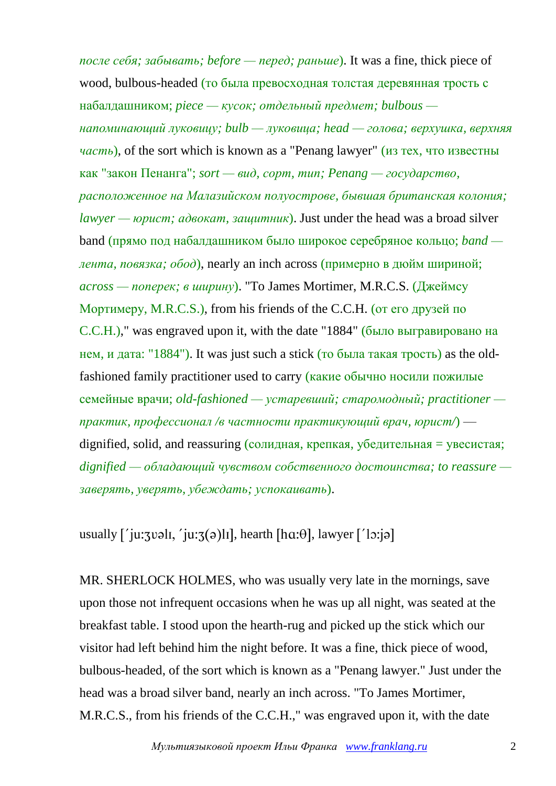*после себя; забывать; before — перед; раньше*). It was a fine, thick piece of wood, bulbous-headed (то была превосходная толстая деревянная трость с набалдашником; *piece — кусок; отдельный предмет; bulbous напоминающий луковицу; bulb — луковица; head — голова; верхушка, верхняя часть*), of the sort which is known as a "Penang lawyer" (из тех, что известны как "закон Пенанга"; *sort — вид, сорт, тип; Penang — государство, расположенное на Малазийском полуострове, бывшая британская колония; lawyer — юрист; адвокат, защитник*). Just under the head was a broad silver band (прямо под набалдашником было широкое серебряное кольцо; *band лента, повязка; обод*), nearly an inch across (примерно в дюйм шириной; *across — поперек; в ширину*). "To James Mortimer, M.R.C.S. (Джеймсу Мортимеру, M.R.C.S.), from his friends of the C.C.H. (от его друзей по C.C.H.)," was engraved upon it, with the date "1884" (было выгравировано на нем, и дата: "1884"). It was just such a stick (то была такая трость) as the oldfashioned family practitioner used to carry (какие обычно носили пожилые семейные врачи; *old-fashioned — устаревший; старомодный; practitioner практик, профессионал /в частности практикующий врач, юрист/*) dignified, solid, and reassuring  $($ солидная, крепкая, убедительная = увесистая; *dignified — обладающий чувством собственного достоинства; to reassure заверять, уверять, убеждать; успокаивать*).

usually  $\lceil$ 'ju: $\frac{1}{3}$ vəli, 'ju: $\frac{1}{3}$ (ə)li], hearth  $\lceil$ ha: $\theta$ ], lawyer  $\lceil$ 'l $\frac{1}{3}$ :jə]

MR. SHERLOCK HOLMES, who was usually very late in the mornings, save upon those not infrequent occasions when he was up all night, was seated at the breakfast table. I stood upon the hearth-rug and picked up the stick which our visitor had left behind him the night before. It was a fine, thick piece of wood, bulbous-headed, of the sort which is known as a "Penang lawyer." Just under the head was a broad silver band, nearly an inch across. "To James Mortimer, M.R.C.S., from his friends of the C.C.H.," was engraved upon it, with the date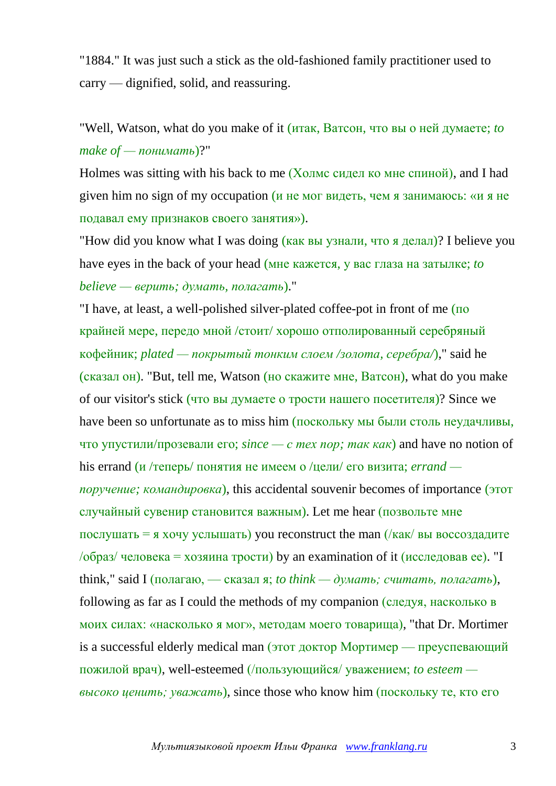"1884." It was just such a stick as the old-fashioned family practitioner used to carry — dignified, solid, and reassuring.

"Well, Watson, what do you make of it (итак, Ватсон, что вы о ней думаете; *to make of — понимать*)?"

Holmes was sitting with his back to me (Холмс сидел ко мне спиной), and I had given him no sign of my occupation (и не мог видеть, чем я занимаюсь: «и я не подавал ему признаков своего занятия»).

"How did you know what I was doing (как вы узнали, что я делал)? I believe you have eyes in the back of your head (мне кажется, у вас глаза на затылке; *to believe — верить; думать, полагать*)."

"I have, at least, a well-polished silver-plated coffee-pot in front of me  $(\text{no})$ крайней мере, передо мной /стоит/ хорошо отполированный серебряный кофейник; *plated — покрытый тонким слоем /золота, серебра/*)," said he (сказал он). "But, tell me, Watson (но скажите мне, Ватсон), what do you make of our visitor's stick (что вы думаете о трости нашего посетителя)? Since we have been so unfortunate as to miss him (поскольку мы были столь неудачливы, что упустили/прозевали его; *since — с тех пор; так как*) and have no notion of his errand (и /теперь/ понятия не имеем о /цели/ его визита; *errand поручение; командировка*), this accidental souvenir becomes of importance (этот случайный сувенир становится важным). Let me hear (позвольте мне послушать = я хочу услышать) you reconstruct the man (/как/ вы воссоздадите  $\alpha$ браз/ человека = хозяина трости) by an examination of it (исследовав ее). "I think," said I (полагаю, — сказал я; *to think — думать; считать, полагать*), following as far as I could the methods of my companion (следуя, насколько в моих силах: «насколько я мог», методам моего товарища), "that Dr. Mortimer is a successful elderly medical man (этот доктор Мортимер — преуспевающий пожилой врач), well-esteemed (/пользующийся/ уважением; *to esteem высоко ценить; уважать*), since those who know him (поскольку те, кто его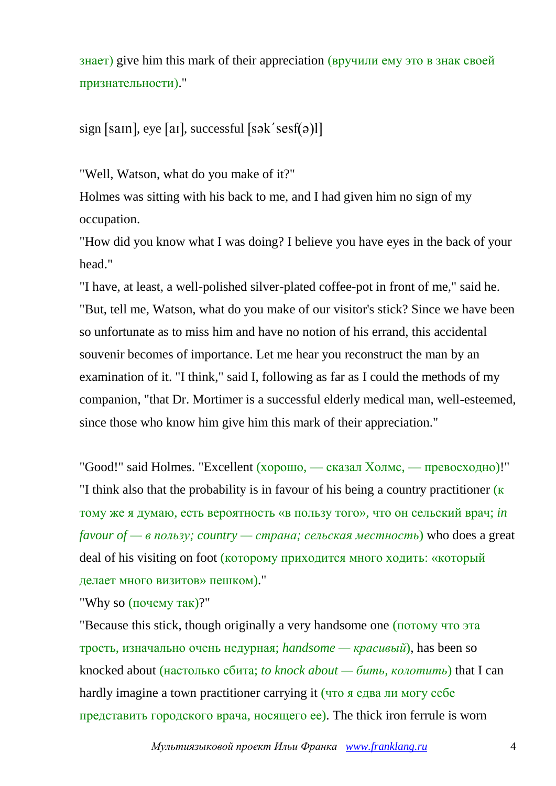знает) give him this mark of their appreciation (вручили ему это в знак своей признательности)."

sign [sain], eye [ai], successful [sək'sesf(ə) $l$ ]]

"Well, Watson, what do you make of it?"

Holmes was sitting with his back to me, and I had given him no sign of my occupation.

"How did you know what I was doing? I believe you have eyes in the back of your head."

"I have, at least, a well-polished silver-plated coffee-pot in front of me," said he. "But, tell me, Watson, what do you make of our visitor's stick? Since we have been so unfortunate as to miss him and have no notion of his errand, this accidental souvenir becomes of importance. Let me hear you reconstruct the man by an examination of it. "I think," said I, following as far as I could the methods of my companion, "that Dr. Mortimer is a successful elderly medical man, well-esteemed, since those who know him give him this mark of their appreciation."

"Good!" said Holmes. "Excellent (хорошо, — сказал Холмс, — превосходно)!" "I think also that the probability is in favour of his being a country practitioner  $(\kappa)$ тому же я думаю, есть вероятность «в пользу того», что он сельский врач; *in favour of — в пользу; country — страна; сельская местность*) who does a great deal of his visiting on foot (которому приходится много ходить: «который делает много визитов» пешком)."

"Why so (почему так)?"

"Because this stick, though originally a very handsome one (потому что эта трость, изначально очень недурная; *handsome — красивый*), has been so knocked about (настолько сбита; *to knock about — бить, колотить*) that I can hardly imagine a town practitioner carrying it (что я едва ли могу себе представить городского врача, носящего ее). The thick iron ferrule is worn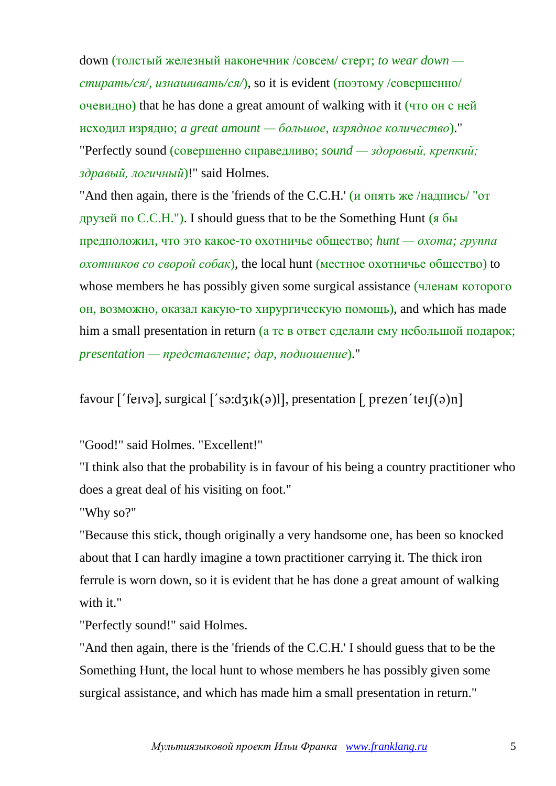down (толстый железный наконечник /совсем/ стерт; *to wear down стирать/ся/, изнашивать/ся/*), so it is evident (поэтому /совершенно/ очевидно) that he has done a great amount of walking with it (что он с ней исходил изрядно; *a great amount — большое, изрядное количество*)." "Perfectly sound (совершенно справедливо; *sound — здоровый, крепкий; здравый, логичный*)!" said Holmes.

"And then again, there is the 'friends of the C.C.H.' (и опять же /надпись/ "от друзей по C.C.H."). I should guess that to be the Something Hunt (я бы предположил, что это какое-то охотничье общество; *hunt — охота; группа охотников со сворой собак*), the local hunt (местное охотничье общество) to whose members he has possibly given some surgical assistance (членам которого он, возможно, оказал какую-то хирургическую помощь), and which has made him a small presentation in return (а те в ответ сделали ему небольшой подарок; *presentation — представление; дар, подношение*)."

favour ['feɪvə], surgical ['sə:dʒɪk(ə)l], presentation [ prezen'teɪʃ(ə)n]

"Good!" said Holmes. "Excellent!"

"I think also that the probability is in favour of his being a country practitioner who does a great deal of his visiting on foot."

"Why so?"

"Because this stick, though originally a very handsome one, has been so knocked about that I can hardly imagine a town practitioner carrying it. The thick iron ferrule is worn down, so it is evident that he has done a great amount of walking with it."

"Perfectly sound!" said Holmes.

"And then again, there is the 'friends of the C.C.H.' I should guess that to be the Something Hunt, the local hunt to whose members he has possibly given some surgical assistance, and which has made him a small presentation in return."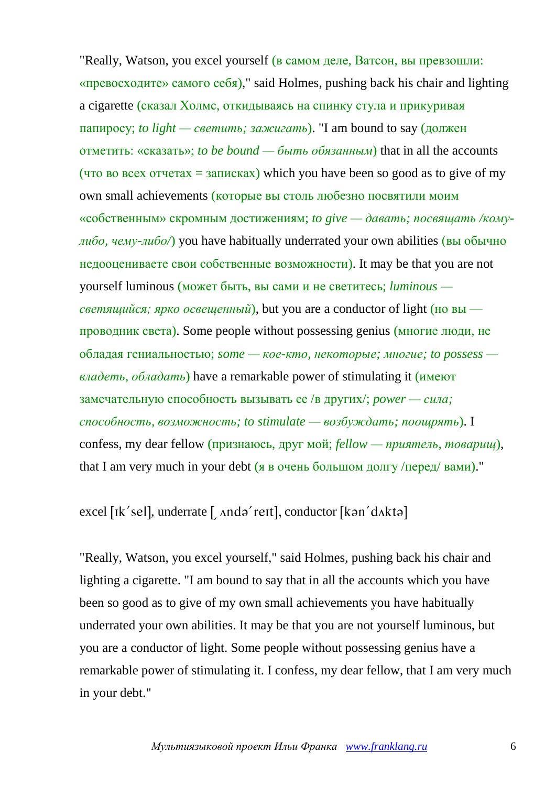"Really, Watson, you excel yourself (в самом деле, Ватсон, вы превзошли: «превосходите» самого себя)," said Holmes, pushing back his chair and lighting a cigarette (сказал Холмс, откидываясь на спинку стула и прикуривая папиросу; *to light — светить; зажигать*). "I am bound to say (должен отметить: «сказать»; *to be bound — быть обязанным*) that in all the accounts (что во всех отчетах = записках) which you have been so good as to give of my own small achievements (которые вы столь любезно посвятили моим «собственным» скромным достижениям; *to give — давать; посвящать /комулибо, чему-либо/*) you have habitually underrated your own abilities (вы обычно недооцениваете свои собственные возможности). It may be that you are not yourself luminous (может быть, вы сами и не светитесь; *luminous светящийся; ярко освещенный*), but you are a conductor of light (но вы проводник света). Some people without possessing genius (многие люди, не обладая гениальностью; *some — кое-кто, некоторые; многие; to possess владеть, обладать*) have a remarkable power of stimulating it (имеют замечательную способность вызывать ее /в других/; *power — сила; способность, возможность; to stimulate — возбуждать; поощрять*). I confess, my dear fellow (признаюсь, друг мой; *fellow — приятель, товарищ*), that I am very much in your debt (я в очень большом долгу /перед/ вами)."

### excel [Ik'sel], underrate [Andə'reit], conductor [kən'dʌktə]

"Really, Watson, you excel yourself," said Holmes, pushing back his chair and lighting a cigarette. "I am bound to say that in all the accounts which you have been so good as to give of my own small achievements you have habitually underrated your own abilities. It may be that you are not yourself luminous, but you are a conductor of light. Some people without possessing genius have a remarkable power of stimulating it. I confess, my dear fellow, that I am very much in your debt."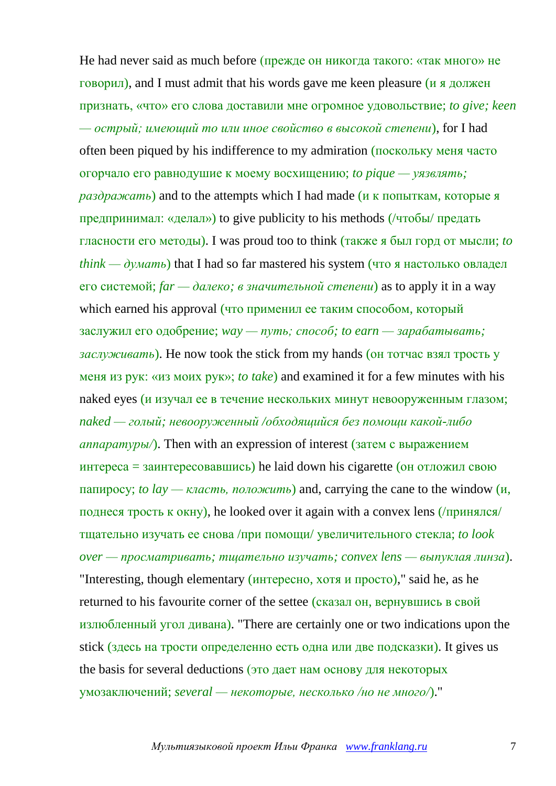He had never said as much before (прежде он никогда такого: «так много» не говорил), and I must admit that his words gave me keen pleasure (и я должен признать, «что» его слова доставили мне огромное удовольствие; *to give; keen — острый; имеющий то или иное свойство в высокой степени*), for I had often been piqued by his indifference to my admiration (поскольку меня часто огорчало его равнодушие к моему восхищению; *to pique — уязвлять; раздражать*) and to the attempts which I had made (и к попыткам, которые я предпринимал: «делал») to give publicity to his methods (/чтобы/ предать гласности его методы). I was proud too to think (также я был горд от мысли; *to*   $t\hbar i\hbar k - \partial y_m a_m$  that I had so far mastered his system (что я настолько овладел его системой; *far — далеко; в значительной степени*) as to apply it in a way which earned his approval (что применил ее таким способом, который заслужил его одобрение; *way — путь; способ; to earn — зарабатывать; заслуживать*). He now took the stick from my hands (он тотчас взял трость у меня из рук: «из моих рук»; *to take*) and examined it for a few minutes with his naked eyes (и изучал ее в течение нескольких минут невооруженным глазом; *naked — голый; невооруженный /обходящийся без помощи какой-либо аппаратуры/*). Then with an expression of interest (затем с выражением интереса = заинтересовавшись) he laid down his cigarette (он отложил свою папиросу; *to lay — класть, положить*) and, carrying the cane to the window (и, поднеся трость к окну), he looked over it again with a convex lens (/принялся/ тщательно изучать ее снова /при помощи/ увеличительного стекла; *to look over — просматривать; тщательно изучать; convex lens — выпуклая линза*). "Interesting, though elementary (интересно, хотя и просто)," said he, as he returned to his favourite corner of the settee (сказал он, вернувшись в свой излюбленный угол дивана). "There are certainly one or two indications upon the stick (здесь на трости определенно есть одна или две подсказки). It gives us the basis for several deductions (это дает нам основу для некоторых умозаключений; *several — некоторые, несколько /но не много/*)."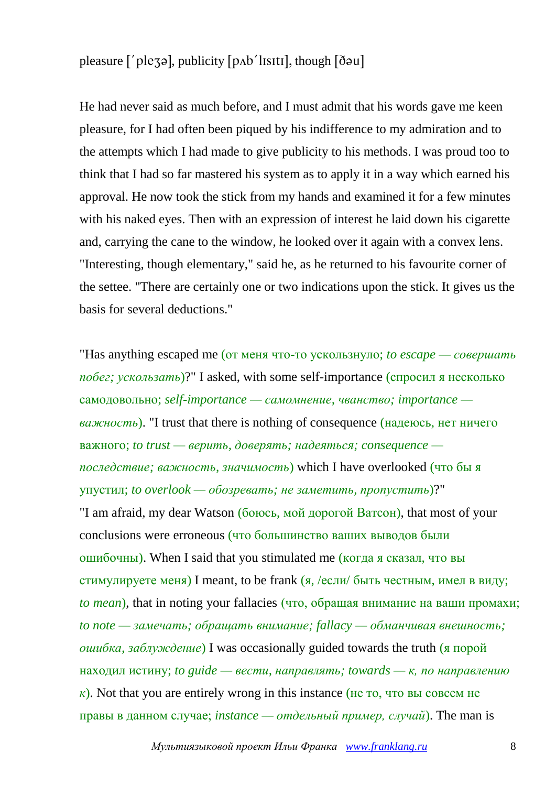# pleasure  $\lceil \text{ple} \cdot \text{pole} \rceil$ , publicity  $\lceil \text{pAb} \rceil$  is though  $\lceil \delta \text{pole} \rceil$

He had never said as much before, and I must admit that his words gave me keen pleasure, for I had often been piqued by his indifference to my admiration and to the attempts which I had made to give publicity to his methods. I was proud too to think that I had so far mastered his system as to apply it in a way which earned his approval. He now took the stick from my hands and examined it for a few minutes with his naked eyes. Then with an expression of interest he laid down his cigarette and, carrying the cane to the window, he looked over it again with a convex lens. "Interesting, though elementary," said he, as he returned to his favourite corner of the settee. "There are certainly one or two indications upon the stick. It gives us the basis for several deductions."

"Has anything escaped me (от меня что-то ускользнуло; *to escape — совершать побег; ускользать*)?" I asked, with some self-importance (спросил я несколько самодовольно; *self-importance — самомнение, чванство; importance важность*). "I trust that there is nothing of consequence (надеюсь, нет ничего важного; *to trust — верить, доверять; надеяться; consequence последствие; важность, значимость*) which I have overlooked (что бы я упустил; *to overlook — обозревать; не заметить, пропустить*)?" "I am afraid, my dear Watson (боюсь, мой дорогой Ватсон), that most of your conclusions were erroneous (что большинство ваших выводов были ошибочны). When I said that you stimulated me (когда я сказал, что вы стимулируете меня) I meant, to be frank (я, /если/ быть честным, имел в виду; *to mean*), that in noting your fallacies (что, обращая внимание на ваши промахи; *to note — замечать; обращать внимание; fallacy — обманчивая внешность; ошибка, заблуждение*) I was occasionally guided towards the truth (я порой находил истину; *to guide — вести, направлять; towards — к, по направлению*  $\kappa$ ). Not that you are entirely wrong in this instance (не то, что вы совсем не правы в данном случае; *instance — отдельный пример, случай*). The man is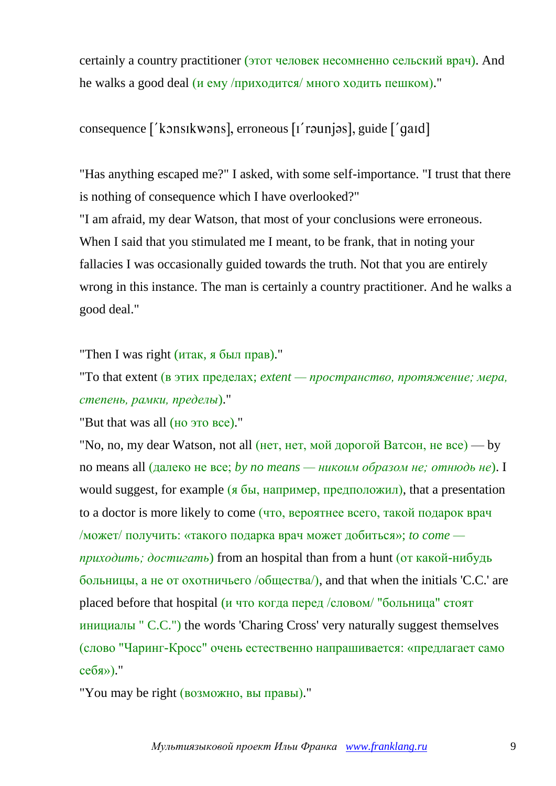certainly a country practitioner (этот человек несомненно сельский врач). And he walks a good deal (и ему /приходится/ много ходить пешком)."

## consequence [' $k$ onsikwans], erroneous [i'raunjas], guide [' $q$ aid]

"Has anything escaped me?" I asked, with some self-importance. "I trust that there is nothing of consequence which I have overlooked?"

"I am afraid, my dear Watson, that most of your conclusions were erroneous. When I said that you stimulated me I meant, to be frank, that in noting your fallacies I was occasionally guided towards the truth. Not that you are entirely wrong in this instance. The man is certainly a country practitioner. And he walks a good deal."

"Then I was right (итак, я был прав)."

"To that extent (в этих пределах; *extent — пространство, протяжение; мера, степень, рамки, пределы*)."

"But that was all (но это все)."

"No, no, my dear Watson, not all  $(Her, Her, MOH, Jopor'OH)$  Ватсон, не все) — by no means all (далеко не все; *by no means — никоим образом не; отнюдь не*). I would suggest, for example (я бы, например, предположил), that a presentation to a doctor is more likely to come (что, вероятнее всего, такой подарок врач /может/ получить: «такого подарка врач может добиться»; *to come приходить; достигать*) from an hospital than from a hunt (от какой-нибудь больницы, а не от охотничьего /общества/), and that when the initials 'C.C.' are placed before that hospital (и что когда перед /словом/ "больница" стоят инициалы " C.C.") the words 'Charing Cross' very naturally suggest themselves (слово "Чаринг-Кросс" очень естественно напрашивается: «предлагает само себя»)."

"You may be right (возможно, вы правы)."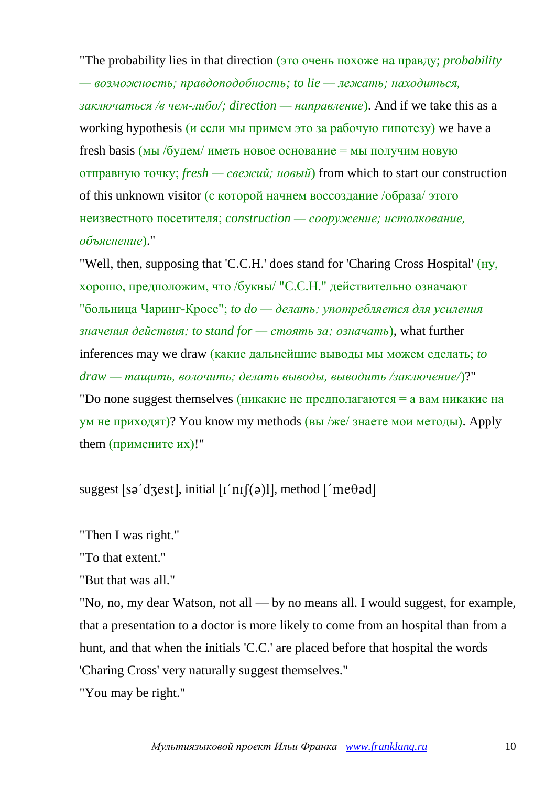"The probability lies in that direction (это очень похоже на правду; *probability — возможность; правдоподобность; to lie — лежать; находиться, заключаться /в чем-либо/; direction — направление*). And if we take this as a working hypothesis (и если мы примем это за рабочую гипотезу) we have a fresh basis (мы /будем/ иметь новое основание = мы получим новую отправную точку; *fresh — свежий; новый*) from which to start our construction of this unknown visitor (с которой начнем воссоздание /образа/ этого неизвестного посетителя; *construction — сооружение; истолкование, объяснение*)."

"Well, then, supposing that 'C.C.H.' does stand for 'Charing Cross Hospital' (ну, хорошо, предположим, что /буквы/ "C.C.H." действительно означают "больница Чаринг-Кросс"; *to do — делать; употребляется для усиления значения действия; to stand for — стоять за; означать*), what further inferences may we draw (какие дальнейшие выводы мы можем сделать; *to draw — тащить, волочить; делать выводы, выводить /заключение/*)?" "Do none suggest themselves (никакие не предполагаются = а вам никакие на ум не приходят)? You know my methods (вы /же/ знаете мои методы). Apply them  $(Примените\n *ux*)!"$ 

suggest [sə'dʒest], initial [I'nI[(ə)l], method ['me $\theta$ əd]

"Then I was right."

"To that extent."

"But that was all."

"No, no, my dear Watson, not all — by no means all. I would suggest, for example, that a presentation to a doctor is more likely to come from an hospital than from a hunt, and that when the initials 'C.C.' are placed before that hospital the words 'Charing Cross' very naturally suggest themselves."

"You may be right."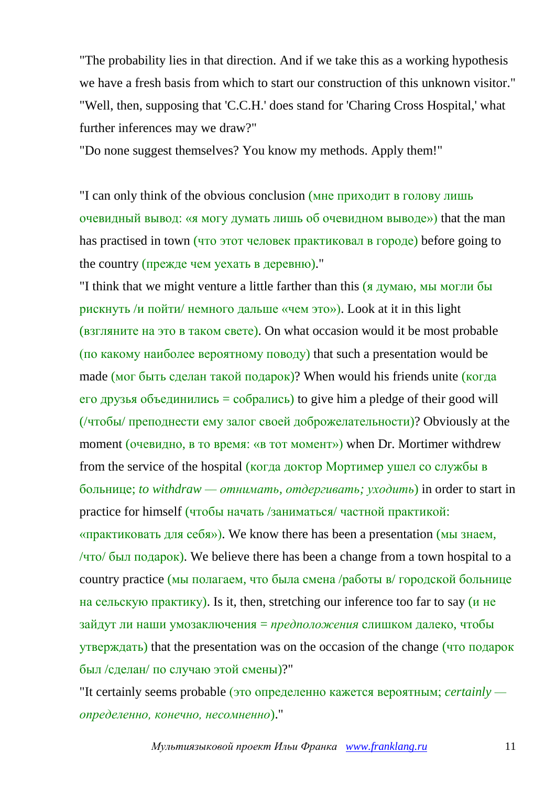"The probability lies in that direction. And if we take this as a working hypothesis we have a fresh basis from which to start our construction of this unknown visitor." "Well, then, supposing that 'C.C.H.' does stand for 'Charing Cross Hospital,' what further inferences may we draw?"

"Do none suggest themselves? You know my methods. Apply them!"

"I can only think of the obvious conclusion (мне приходит в голову лишь очевидный вывод: «я могу думать лишь об очевидном выводе») that the man has practised in town (что этот человек практиковал в городе) before going to the country (прежде чем уехать в деревню)."

"I think that we might venture a little farther than this (я думаю, мы могли бы рискнуть /и пойти/ немного дальше «чем это»). Look at it in this light (взгляните на это в таком свете). On what occasion would it be most probable (по какому наиболее вероятному поводу) that such a presentation would be made (мог быть сделан такой подарок)? When would his friends unite (когда его друзья объединились = собрались) to give him a pledge of their good will (/чтобы/ преподнести ему залог своей доброжелательности)? Obviously at the moment (очевидно, в то время: «в тот момент») when Dr. Mortimer withdrew from the service of the hospital (когда доктор Мортимер ушел со службы в больнице; *to withdraw — отнимать, отдергивать; уходить*) in order to start in practice for himself (чтобы начать /заниматься/ частной практикой: «практиковать для себя»). We know there has been a presentation (мы знаем, /что/ был подарок). We believe there has been a change from a town hospital to a country practice (мы полагаем, что была смена /работы в/ городской больнице на сельскую практику). Is it, then, stretching our inference too far to say (и не зайдут ли наши умозаключения = *предположения* слишком далеко, чтобы утверждать) that the presentation was on the occasion of the change (что подарок был /сделан/ по случаю этой смены)?"

"It certainly seems probable (это определенно кажется вероятным; *certainly определенно, конечно, несомненно*)."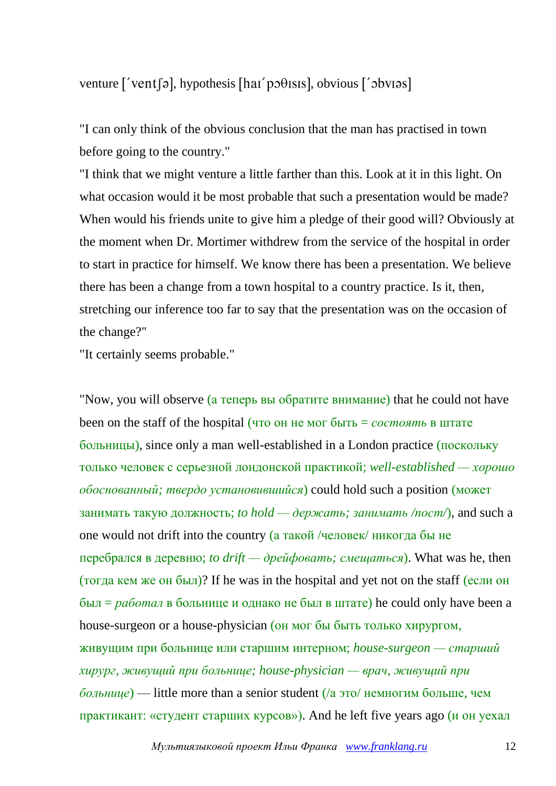venture  $\lceil \sqrt{\text{vent}[\sigma]} \rceil$ , hypothesis  $\lceil \text{ha} \rceil$  po $\theta$ isis $\lceil \text{obvious} \rceil$  obvious  $\lceil \text{obvious} \rceil$ 

"I can only think of the obvious conclusion that the man has practised in town before going to the country."

"I think that we might venture a little farther than this. Look at it in this light. On what occasion would it be most probable that such a presentation would be made? When would his friends unite to give him a pledge of their good will? Obviously at the moment when Dr. Mortimer withdrew from the service of the hospital in order to start in practice for himself. We know there has been a presentation. We believe there has been a change from a town hospital to a country practice. Is it, then, stretching our inference too far to say that the presentation was on the occasion of the change?"

"It certainly seems probable."

"Now, you will observe (а теперь вы обратите внимание) that he could not have been on the staff of the hospital (что он не мог быть = *состоять* в штате больницы), since only a man well-established in a London practice (поскольку только человек с серьезной лондонской практикой; *well-established — хорошо обоснованный; твердо установившийся*) could hold such a position (может занимать такую должность; *to hold — держать*; занимать /nocm/), and such a one would not drift into the country (а такой /человек/ никогда бы не перебрался в деревню; *to drift — дрейфовать; смещаться*). What was he, then (тогда кем же он был)? If he was in the hospital and yet not on the staff (если он был = *работал* в больнице и однако не был в штате) he could only have been a house-surgeon or a house-physician (он мог бы быть только хирургом, живущим при больнице или старшим интерном; *house-surgeon — старший хирург, живущий при больнице; house-physician — врач, живущий при*  $\delta$ *ольнице*) — little more than a senior student (/а это/ немногим больше, чем практикант: «студент старших курсов»). And he left five years ago (и он уехал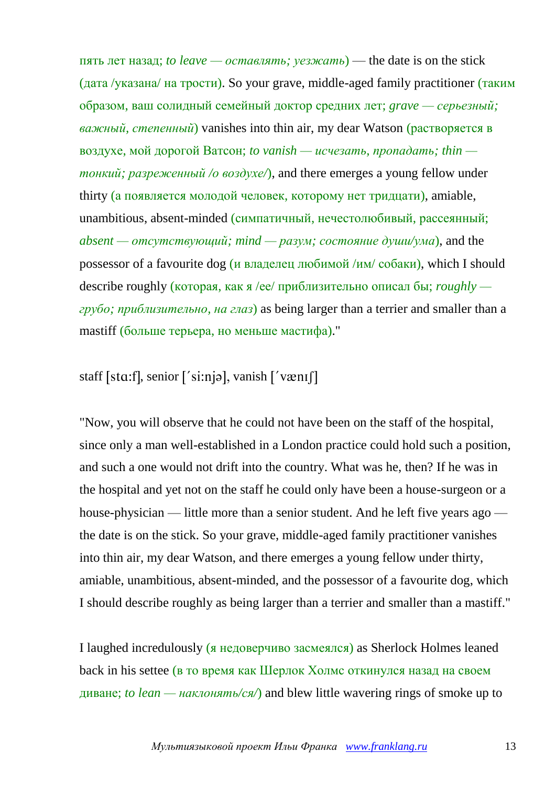пять лет назад; *to leave — оставлять; уезжать*) — the date is on the stick (дата /указана/ на трости). So your grave, middle-aged family practitioner (таким образом, ваш солидный семейный доктор средних лет; *grave — серьезный; важный, степенный*) vanishes into thin air, my dear Watson (растворяется в воздухе, мой дорогой Ватсон; *to vanish — исчезать, пропадать; thin тонкий; разреженный /о воздухе/*), and there emerges a young fellow under thirty (а появляется молодой человек, которому нет тридцати), amiable, unambitious, absent-minded (симпатичный, нечестолюбивый, рассеянный; *absent — отсутствующий; mind — разум; состояние души/ума*), and the possessor of a favourite dog (и владелец любимой /им/ собаки), which I should describe roughly (которая, как я /ее/ приблизительно описал бы; *roughly грубо; приблизительно, на глаз*) as being larger than a terrier and smaller than a mastiff (больше терьера, но меньше мастифа)."

staff [stɑ:f], senior ['si:njə], vanish ['vænɪʃ]

"Now, you will observe that he could not have been on the staff of the hospital, since only a man well-established in a London practice could hold such a position, and such a one would not drift into the country. What was he, then? If he was in the hospital and yet not on the staff he could only have been a house-surgeon or a house-physician — little more than a senior student. And he left five years ago the date is on the stick. So your grave, middle-aged family practitioner vanishes into thin air, my dear Watson, and there emerges a young fellow under thirty, amiable, unambitious, absent-minded, and the possessor of a favourite dog, which I should describe roughly as being larger than a terrier and smaller than a mastiff."

I laughed incredulously (я недоверчиво засмеялся) as Sherlock Holmes leaned back in his settee (в то время как Шерлок Холмс откинулся назад на своем диване; *to lean — наклонять/ся/*) and blew little wavering rings of smoke up to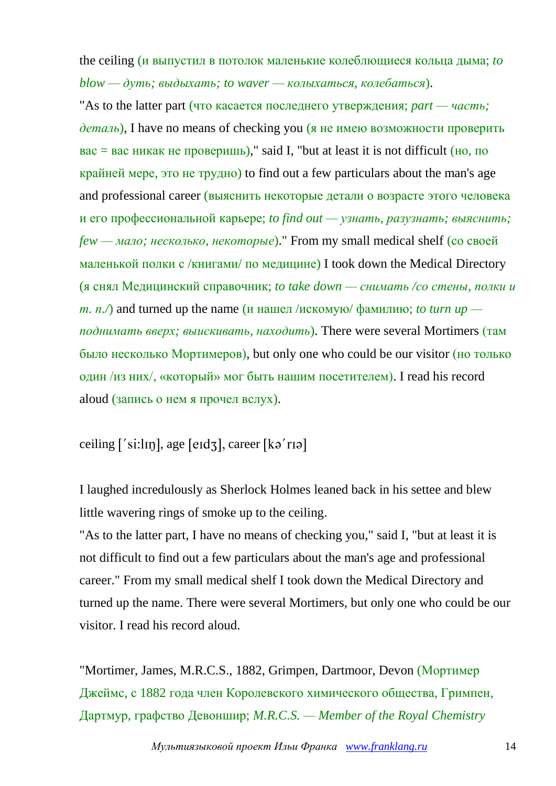the ceiling (и выпустил в потолок маленькие колеблющиеся кольца дыма; *to blow — дуть; выдыхать; to waver — колыхаться, колебаться*).

"As to the latter part (что касается последнего утверждения; *part — часть; деталь*), I have no means of checking you (я не имею возможности проверить вас = вас никак не проверишь)," said I, "but at least it is not difficult (но, по крайней мере, это не трудно) to find out a few particulars about the man's age and professional career (выяснить некоторые детали о возрасте этого человека и его профессиональной карьере; *to find out — узнать, разузнать; выяснить; few — мало; несколько, некоторые*)." From my small medical shelf (со своей маленькой полки с /книгами/ по медицине) I took down the Medical Directory (я снял Медицинский справочник; *to take down — снимать /со стены, полки и т. п./*) and turned up the name (и нашел /искомую/ фамилию; *to turn up поднимать вверх; выискивать, находить*). There were several Mortimers (там было несколько Мортимеров), but only one who could be our visitor (но только один /из них/, «который» мог быть нашим посетителем). I read his record aloud (запись о нем я прочел вслух).

ceiling  $\lceil$ 'si:lɪŋ], age  $\lceil$ eɪdʒ], career  $\lceil$ kə'rɪə]

I laughed incredulously as Sherlock Holmes leaned back in his settee and blew little wavering rings of smoke up to the ceiling.

"As to the latter part, I have no means of checking you," said I, "but at least it is not difficult to find out a few particulars about the man's age and professional career." From my small medical shelf I took down the Medical Directory and turned up the name. There were several Mortimers, but only one who could be our visitor. I read his record aloud.

"Mortimer, James, M.R.C.S., 1882, Grimpen, Dartmoor, Devon (Мортимер Джеймс, с 1882 года член Королевского химического общества, Гримпен, Дартмур, графство Девоншир; *M.R.C.S. — Member of the Royal Chemistry*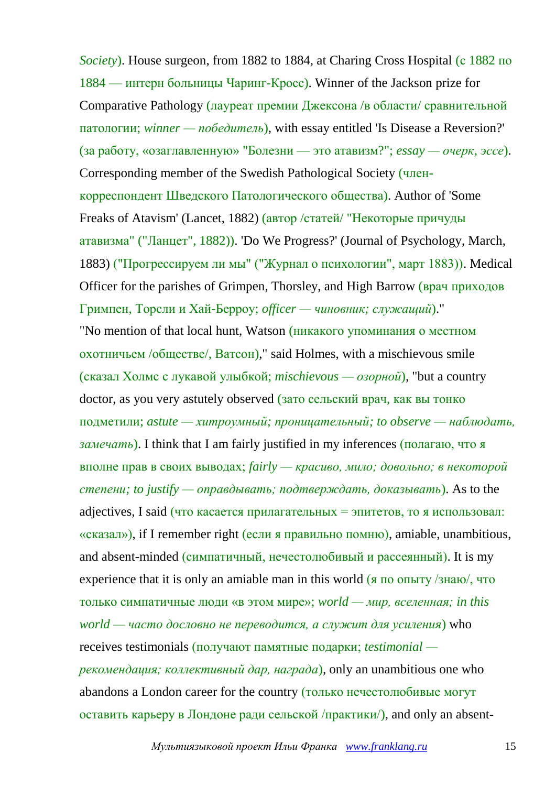*Society*). House surgeon, from 1882 to 1884, at Charing Cross Hospital (с 1882 по 1884 — интерн больницы Чаринг-Кросс). Winner of the Jackson prize for Comparative Pathology (лауреат премии Джексона /в области/ сравнительной патологии; *winner — победитель*), with essay entitled 'Is Disease a Reversion?' (за работу, «озаглавленную» "Болезни — это атавизм?"; *essay — очерк, эссе*). Corresponding member of the Swedish Pathological Society (членкорреспондент Шведского Патологического общества). Author of 'Some Freaks of Atavism' (Lancet, 1882) (автор /статей/ "Некоторые причуды атавизма" ("Ланцет", 1882)). 'Do We Progress?' (Journal of Psychology, March, 1883) ("Прогрессируем ли мы" ("Журнал о психологии", март 1883)). Medical Officer for the parishes of Grimpen, Thorsley, and High Barrow (врач приходов Гримпен, Торсли и Хай-Берроу; *officer — чиновник; служащий*)." "No mention of that local hunt, Watson (никакого упоминания о местном охотничьем /обществе/, Ватсон)," said Holmes, with a mischievous smile (сказал Холмс с лукавой улыбкой; *mischievous — озорной*), "but a country doctor, as you very astutely observed (зато сельский врач, как вы тонко подметили; *astute — хитроумный; проницательный; to observe — наблюдать, замечать*). I think that I am fairly justified in my inferences (полагаю, что я вполне прав в своих выводах; *fairly — красиво, мило; довольно; в некоторой степени; to justify — оправдывать; подтверждать, доказывать*). As to the adjectives, I said (что касается прилагательных = эпитетов, то я использовал: «сказал»), if I remember right (если я правильно помню), amiable, unambitious, and absent-minded (симпатичный, нечестолюбивый и рассеянный). It is my experience that it is only an amiable man in this world  $(a \text{ no on}$ ыту /знаю/, что только симпатичные люди «в этом мире»; *world — мир, вселенная; in this world — часто дословно не переводится, а служит для усиления*) who receives testimonials (получают памятные подарки; *testimonial*   $p$ екомендация; коллективный дар, награда), only an unambitious one who abandons a London career for the country (только нечестолюбивые могут оставить карьеру в Лондоне ради сельской /практики/), and only an absent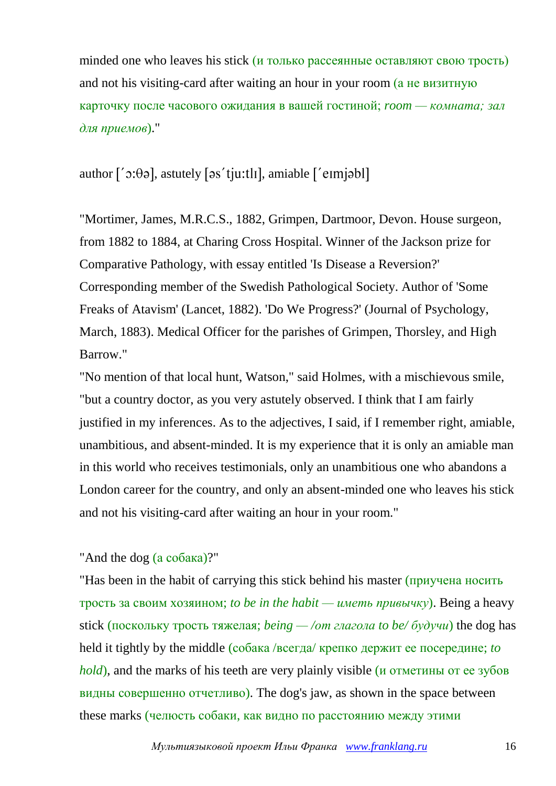minded one who leaves his stick (и только рассеянные оставляют свою трость) and not his visiting-card after waiting an hour in your room (а не визитную карточку после часового ожидания в вашей гостиной; *room — комната; зал для приемов*)."

author ['0:02], astutely [28' tju:tli], amiable ['eimj2bl]

"Mortimer, James, M.R.C.S., 1882, Grimpen, Dartmoor, Devon. House surgeon, from 1882 to 1884, at Charing Cross Hospital. Winner of the Jackson prize for Comparative Pathology, with essay entitled 'Is Disease a Reversion?' Corresponding member of the Swedish Pathological Society. Author of 'Some Freaks of Atavism' (Lancet, 1882). 'Do We Progress?' (Journal of Psychology, March, 1883). Medical Officer for the parishes of Grimpen, Thorsley, and High Barrow."

"No mention of that local hunt, Watson," said Holmes, with a mischievous smile, "but a country doctor, as you very astutely observed. I think that I am fairly justified in my inferences. As to the adjectives, I said, if I remember right, amiable, unambitious, and absent-minded. It is my experience that it is only an amiable man in this world who receives testimonials, only an unambitious one who abandons a London career for the country, and only an absent-minded one who leaves his stick and not his visiting-card after waiting an hour in your room."

"And the dog (а собака)?"

"Has been in the habit of carrying this stick behind his master (приучена носить трость за своим хозяином; *to be in the habit — иметь привычку*). Being a heavy stick (поскольку трость тяжелая; *being —/от глагола to be/ будучи*) the dog has held it tightly by the middle (собака /всегда/ крепко держит ее посередине; *to hold*), and the marks of his teeth are very plainly visible (и отметины от ее зубов видны совершенно отчетливо). The dog's jaw, as shown in the space between these marks (челюсть собаки, как видно по расстоянию между этими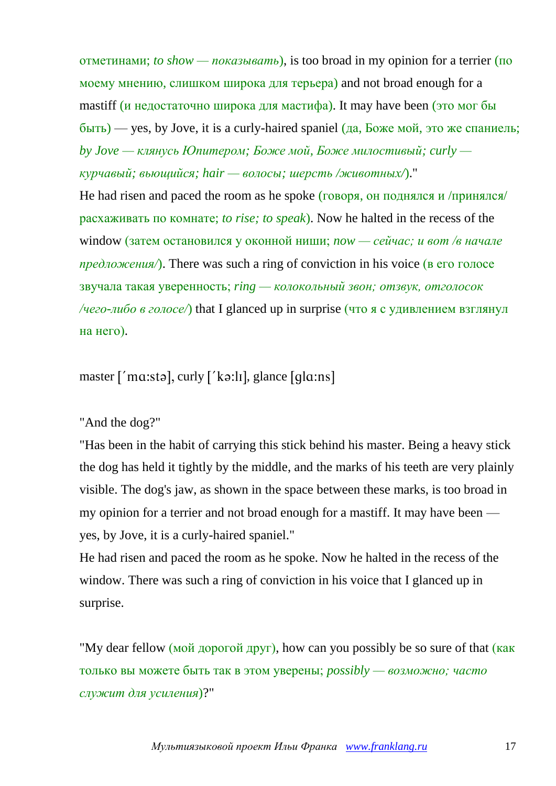отметинами; *to show — показывать*), is too broad in my opinion for a terrier (по моему мнению, слишком широка для терьера) and not broad enough for a mastiff (и недостаточно широка для мастифа). It may have been (это мог бы  $\delta$ ыть) — yes, by Jove, it is a curly-haired spaniel (да, Боже мой, это же спаниель; *by Jove — клянусь Юпитером; Боже мой, Боже милостивый; curly курчавый; вьющийся; hair — волосы; шерсть /животных/*)." He had risen and paced the room as he spoke (говоря, он поднялся и /принялся/ расхаживать по комнате; *to rise; to speak*). Now he halted in the recess of the window (затем остановился у оконной ниши; *now — сейчас; и вот /в начале предложения/*). There was such a ring of conviction in his voice (в его голосе звучала такая уверенность; *ring — колокольный звон; отзвук, отголосок /чего-либо в голосе/*) that I glanced up in surprise (что я с удивлением взглянул на него).

master ['mɑ:stə], curly ['kə:lɪ], glance [glɑ:ns]

#### "And the dog?"

"Has been in the habit of carrying this stick behind his master. Being a heavy stick the dog has held it tightly by the middle, and the marks of his teeth are very plainly visible. The dog's jaw, as shown in the space between these marks, is too broad in my opinion for a terrier and not broad enough for a mastiff. It may have been yes, by Jove, it is a curly-haired spaniel."

He had risen and paced the room as he spoke. Now he halted in the recess of the window. There was such a ring of conviction in his voice that I glanced up in surprise.

"My dear fellow (мой дорогой друг), how can you possibly be so sure of that  $(\kappa a \kappa)$ только вы можете быть так в этом уверены; *possibly — возможно; часто служит для усиления*)?"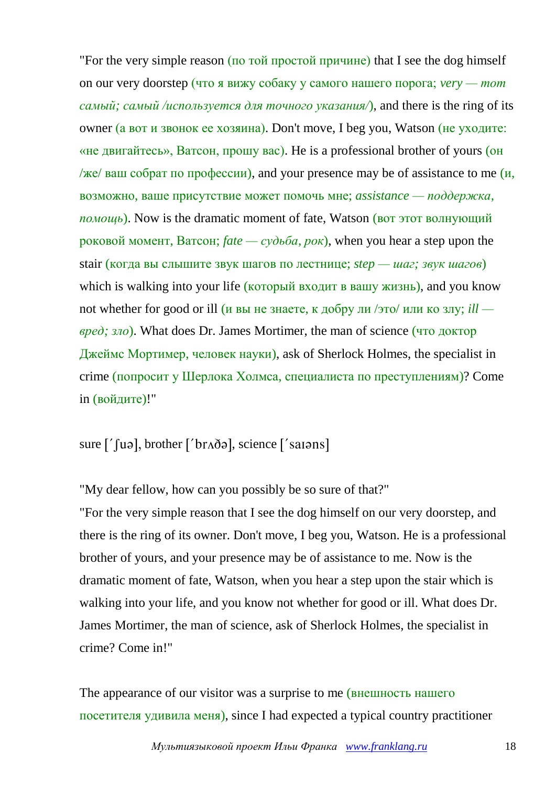"For the very simple reason (по той простой причине) that I see the dog himself on our very doorstep (что я вижу собаку у самого нашего порога; *very — тот самый; самый /используется для точного указания/*), and there is the ring of its owner (а вот и звонок ее хозяина). Don't move, I beg you, Watson (не уходите: «не двигайтесь», Ватсон, прошу вас). He is a professional brother of yours (он /же/ ваш собрат по профессии), and your presence may be of assistance to me  $(u,$ возможно, ваше присутствие может помочь мне; *assistance — поддержка, помощь*). Now is the dramatic moment of fate, Watson (вот этот волнующий роковой момент, Ватсон; *fate — судьба, рок*), when you hear a step upon the stair (когда вы слышите звук шагов по лестнице; *step — шаг; звук шагов*) which is walking into your life (который входит в вашу жизнь), and you know not whether for good or ill (и вы не знаете, к добру ли /это/ или ко злу; *ill вред; зло*). What does Dr. James Mortimer, the man of science (что доктор Джеймс Мортимер, человек науки), ask of Sherlock Holmes, the specialist in crime (попросит у Шерлока Холмса, специалиста по преступлениям)? Come in (войдите)!"

sure  $\lceil \int$  (ua), brother  $\lceil \int$  br $\Delta$ d $\delta$ a), science  $\lceil \int$  salams)

"My dear fellow, how can you possibly be so sure of that?"

"For the very simple reason that I see the dog himself on our very doorstep, and there is the ring of its owner. Don't move, I beg you, Watson. He is a professional brother of yours, and your presence may be of assistance to me. Now is the dramatic moment of fate, Watson, when you hear a step upon the stair which is walking into your life, and you know not whether for good or ill. What does Dr. James Mortimer, the man of science, ask of Sherlock Holmes, the specialist in crime? Come in!"

The appearance of our visitor was a surprise to me (внешность нашего посетителя удивила меня), since I had expected a typical country practitioner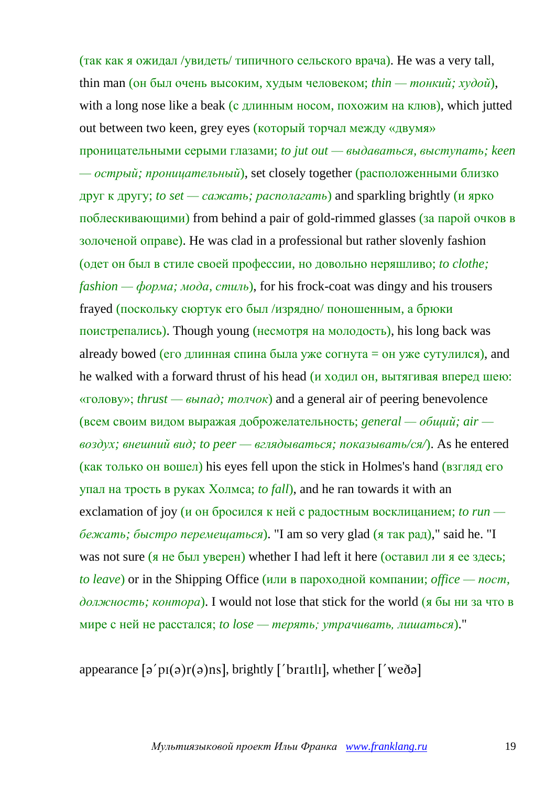(так как я ожидал /увидеть/ типичного сельского врача). He was a very tall, thin man (он был очень высоким, худым человеком; *thin — тонкий; худой*), with a long nose like a beak (с длинным носом, похожим на клюв), which jutted out between two keen, grey eyes (который торчал между «двумя» проницательными серыми глазами; *to jut out — выдаваться, выступать; keen — острый; проницательный*), set closely together (расположенными близко друг к другу; *to set — сажать; располагать*) and sparkling brightly (и ярко поблескивающими) from behind a pair of gold-rimmed glasses (за парой очков в золоченой оправе). He was clad in a professional but rather slovenly fashion (одет он был в стиле своей профессии, но довольно неряшливо; *to clothe; fashion — форма; мода, стиль*), for his frock-coat was dingy and his trousers frayed (поскольку сюртук его был /изрядно/ поношенным, а брюки поистрепались). Though young (несмотря на молодость), his long back was already bowed (его длинная спина была уже согнута = он уже сутулился), and he walked with a forward thrust of his head (и ходил он, вытягивая вперед шею: «голову»; *thrust — выпад; толчок*) and a general air of peering benevolence (всем своим видом выражая доброжелательность; *general — общий; air воздух; внешний вид; to peer — вглядываться; показывать/ся/*). As he entered (как только он вошел) his eyes fell upon the stick in Holmes's hand (взгляд его упал на трость в руках Холмса; *to fall*), and he ran towards it with an exclamation of joy (и он бросился к ней с радостным восклицанием; *to run бежать; быстро перемещаться*). "I am so very glad (я так рад)," said he. "I was not sure (я не был уверен) whether I had left it here (оставил ли я ее здесь; *to leave*) or in the Shipping Office (или в пароходной компании; *office — пост, должность; контора*). I would not lose that stick for the world (я бы ни за что в мире с ней не расстался; *to lose — терять; утрачивать, лишаться*)."

appearance  $\lceil \varphi' \text{pi}(\varphi) \text{pi}(\varphi) \text{ns} \rceil$ , brightly  $\lceil \varphi' \text{pi}(\text{mu}) \rceil$ , whether  $\lceil \varphi' \text{pi}(\varphi) \rceil$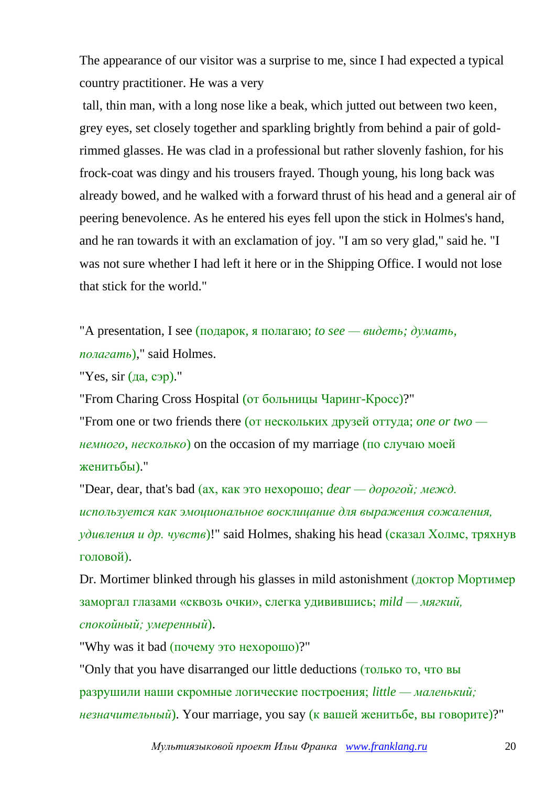The appearance of our visitor was a surprise to me, since I had expected a typical country practitioner. He was a very

tall, thin man, with a long nose like a beak, which jutted out between two keen, grey eyes, set closely together and sparkling brightly from behind a pair of goldrimmed glasses. He was clad in a professional but rather slovenly fashion, for his frock-coat was dingy and his trousers frayed. Though young, his long back was already bowed, and he walked with a forward thrust of his head and a general air of peering benevolence. As he entered his eyes fell upon the stick in Holmes's hand, and he ran towards it with an exclamation of joy. "I am so very glad," said he. "I was not sure whether I had left it here or in the Shipping Office. I would not lose that stick for the world."

"A presentation, I see (подарок, я полагаю; *to see — видеть; думать, полагать*)," said Holmes.

"Yes, sir (да, сэр)."

"From Charing Cross Hospital (от больницы Чаринг-Кросс)?"

"From one or two friends there (от нескольких друзей оттуда; *one or two немного, несколько*) on the occasion of my marriage (по случаю моей женитьбы)."

"Dear, dear, that's bad (ах, как это нехорошо; *dear — дорогой; межд. используется как эмоциональное восклицание для выражения сожаления, удивления и др. чувств*)!" said Holmes, shaking his head (сказал Холмс, тряхнув головой).

Dr. Mortimer blinked through his glasses in mild astonishment (доктор Мортимер заморгал глазами «сквозь очки», слегка удивившись; *mild — мягкий, спокойный; умеренный*).

"Why was it bad (почему это нехорошо)?"

"Only that you have disarranged our little deductions (только то, что вы разрушили наши скромные логические построения; *little — маленький; незначительный*). Your marriage, you say (к вашей женитьбе, вы говорите)?"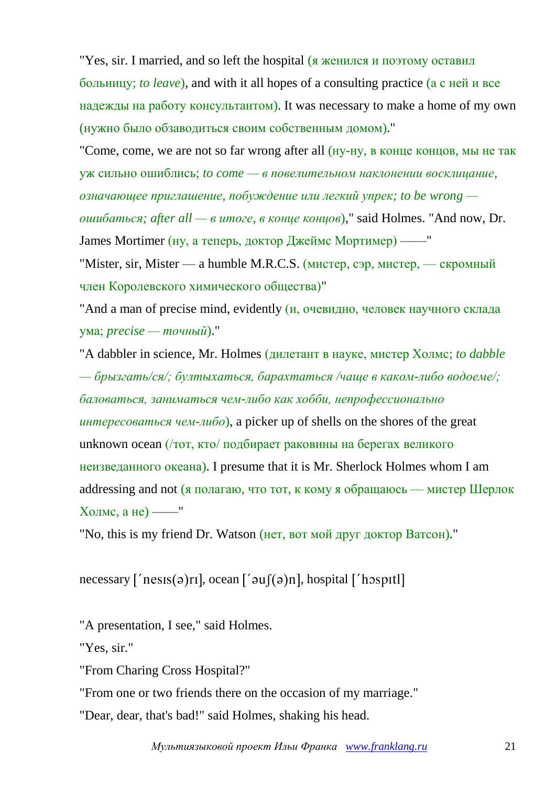"Yes, sir. I married, and so left the hospital (я женился и поэтому оставил больницу; *to leave*), and with it all hopes of a consulting practice (а с ней и все надежды на работу консультантом). It was necessary to make a home of my own (нужно было обзаводиться своим собственным домом)."

"Come, come, we are not so far wrong after all (ну-ну, в конце концов, мы не так уж сильно ошиблись; *to come — в повелительном наклонении восклицание, означающее приглашение, побуждение или легкий упрек; to be wrong —*

*ошибаться; after all — в итоге, в конце концов*)," said Holmes. "And now, Dr. James Mortimer (ну, а теперь, доктор Джеймс Мортимер) ——"

"Mister, sir, Mister — a humble M.R.C.S. (мистер, сэр, мистер, — скромный член Королевского химического общества)"

"And a man of precise mind, evidently  $(u, o$  чевидно, человек научного склада ума; *precise — точный*)."

"A dabbler in science, Mr. Holmes (дилетант в науке, мистер Холмс; *to dabble — брызгать/ся/; бултыхаться, барахтаться /чаще в каком-либо водоеме/; баловаться, заниматься чем-либо как хобби, непрофессионально интересоваться чем-либо*), a picker up of shells on the shores of the great unknown ocean (/тот, кто/ подбирает раковины на берегах великого неизведанного океана). I presume that it is Mr. Sherlock Holmes whom I am addressing and not (я полагаю, что тот, к кому я обращаюсь — мистер Шерлок Холмс, а не) ——"

"No, this is my friend Dr. Watson (нет, вот мой друг доктор Ватсон)."

necessary  $\lceil'$  ness(a)r<sub>I</sub>, ocean  $\lceil'$  au $\lceil$ (a)n<sub>I</sub>, hospital  $\lceil'$  hospitl<sub>I</sub>

"A presentation, I see," said Holmes.

"Yes, sir."

"From Charing Cross Hospital?"

"From one or two friends there on the occasion of my marriage."

"Dear, dear, that's bad!" said Holmes, shaking his head.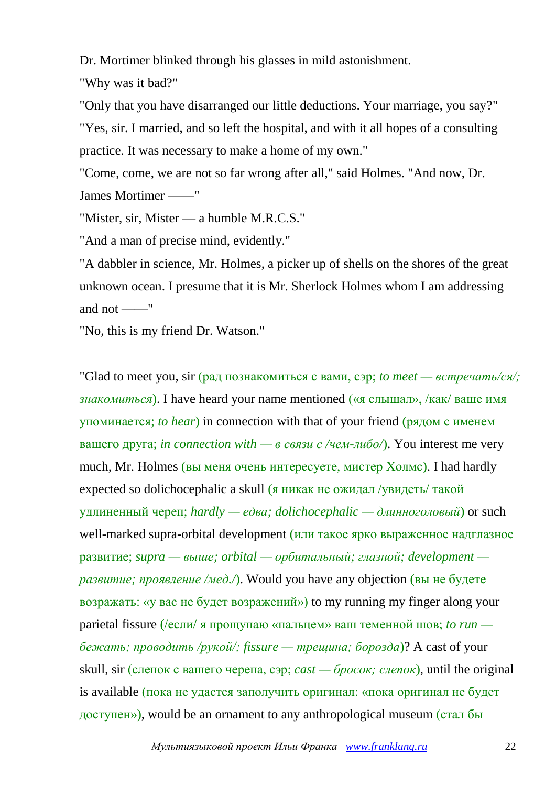Dr. Mortimer blinked through his glasses in mild astonishment.

"Why was it bad?"

"Only that you have disarranged our little deductions. Your marriage, you say?" "Yes, sir. I married, and so left the hospital, and with it all hopes of a consulting practice. It was necessary to make a home of my own."

"Come, come, we are not so far wrong after all," said Holmes. "And now, Dr. James Mortimer ——"

"Mister, sir, Mister — a humble M.R.C.S."

"And a man of precise mind, evidently."

"A dabbler in science, Mr. Holmes, a picker up of shells on the shores of the great unknown ocean. I presume that it is Mr. Sherlock Holmes whom I am addressing and not ——"

"No, this is my friend Dr. Watson."

"Glad to meet you, sir (рад познакомиться с вами, сэр; *to meet — встречать/ся/; знакомиться*). I have heard your name mentioned («я слышал», /как/ ваше имя упоминается; *to hear*) in connection with that of your friend (рядом с именем вашего друга; *in connection with — в связи с /чем-либо/*). You interest me very much, Mr. Holmes (вы меня очень интересуете, мистер Холмс). I had hardly expected so dolichocephalic a skull (я никак не ожидал /увидеть/ такой удлиненный череп; *hardly — едва; dolichocephalic — длинноголовый*) or such well-marked supra-orbital development (или такое ярко выраженное надглазное развитие; *supra — выше; orbital — орбитальный; глазной; development развитие; проявление /мед./*). Would you have any objection (вы не будете возражать: «у вас не будет возражений») to my running my finger along your parietal fissure (/если/ я прощупаю «пальцем» ваш теменной шов; *to run бежать; проводить /рукой/; fissure — трещина; борозда*)? A cast of your skull, sir (слепок с вашего черепа, сэр; *cast — бросок; слепок*), until the original is available (пока не удастся заполучить оригинал: «пока оригинал не будет доступен»), would be an ornament to any anthropological museum (стал бы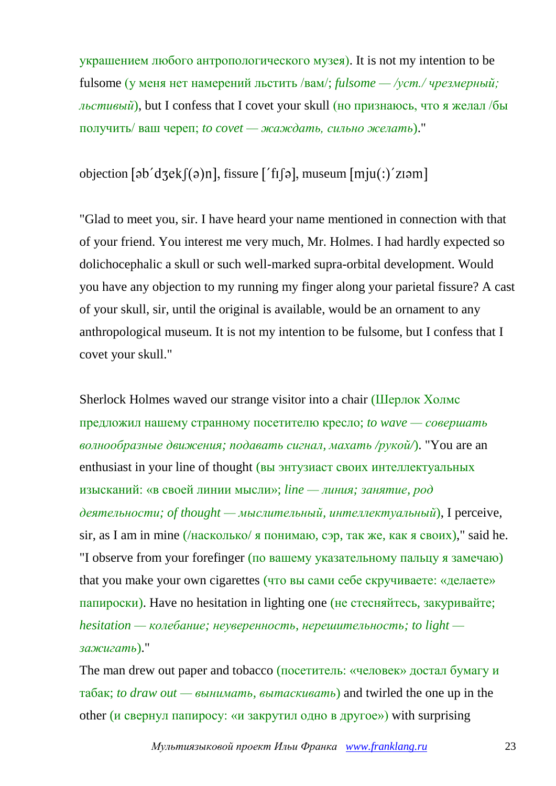украшением любого антропологического музея). It is not my intention to be fulsome (у меня нет намерений льстить /вам/; *fulsome — /уст./ чрезмерный;*   $\mu$ *льстивый*), but I confess that I covet your skull (но признаюсь, что я желал /бы получить/ ваш череп; *to covet — жаждать, сильно желать*)."

# objection [əb'dʒekʃ(ə)n], fissure ['fɪʃə], museum [mju(:)'zɪəm]

"Glad to meet you, sir. I have heard your name mentioned in connection with that of your friend. You interest me very much, Mr. Holmes. I had hardly expected so dolichocephalic a skull or such well-marked supra-orbital development. Would you have any objection to my running my finger along your parietal fissure? A cast of your skull, sir, until the original is available, would be an ornament to any anthropological museum. It is not my intention to be fulsome, but I confess that I covet your skull."

Sherlock Holmes waved our strange visitor into a chair (Шерлок Холмс предложил нашему странному посетителю кресло; *to wave — совершать волнообразные движения; подавать сигнал, махать /рукой/*). "You are an enthusiast in your line of thought (вы энтузиаст своих интеллектуальных изысканий: «в своей линии мысли»; *line — линия; занятие, род деятельности; of thought — мыслительный, интеллектуальный*), I perceive, sir, as I am in mine (/насколько/ я понимаю, сэр, так же, как я своих)," said he. "I observe from your forefinger (по вашему указательному пальцу я замечаю) that you make your own cigarettes (что вы сами себе скручиваете: «делаете» папироски). Have no hesitation in lighting one (не стесняйтесь, закуривайте; *hesitation — колебание; неуверенность, нерешительность; to light зажигать*)."

The man drew out paper and tobacco (посетитель: «человек» достал бумагу и табак; *to draw out — вынимать, вытаскивать*) and twirled the one up in the other (и свернул папиросу: «и закрутил одно в другое») with surprising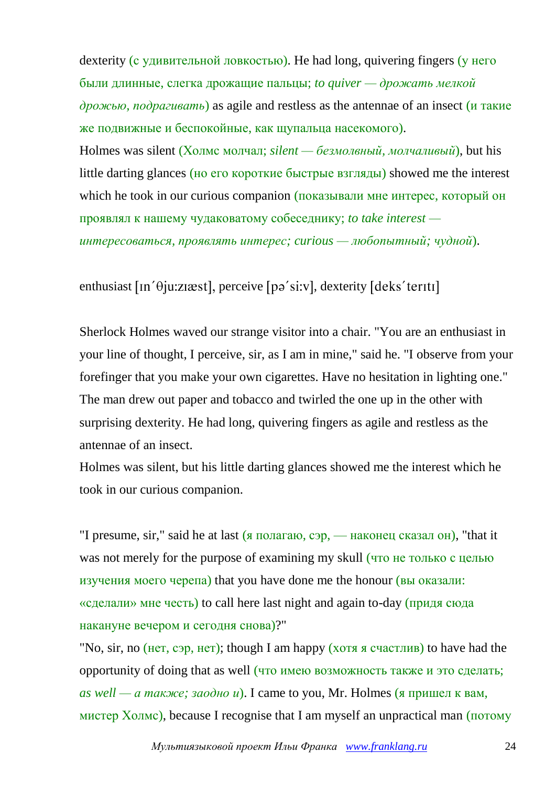dexterity (с удивительной ловкостью). He had long, quivering fingers (у него были длинные, слегка дрожащие пальцы; *to quiver — дрожать мелкой дрожью, подрагивать*) as agile and restless as the antennae of an insect (и такие же подвижные и беспокойные, как щупальца насекомого).

Holmes was silent (Холмс молчал; *silent — безмолвный, молчаливый*), but his little darting glances (но его короткие быстрые взгляды) showed me the interest which he took in our curious companion (показывали мне интерес, который он проявлял к нашему чудаковатому собеседнику; *to take interest —*

*интересоваться, проявлять интерес; curious — любопытный; чудной*).

enthusiast  $\lceil \ln' \theta \rceil$ u: ziæst], perceive  $\lceil \text{pa'si:v} \rceil$ , dexterity  $\lceil \text{deks'terit} \rceil$ 

Sherlock Holmes waved our strange visitor into a chair. "You are an enthusiast in your line of thought, I perceive, sir, as I am in mine," said he. "I observe from your forefinger that you make your own cigarettes. Have no hesitation in lighting one." The man drew out paper and tobacco and twirled the one up in the other with surprising dexterity. He had long, quivering fingers as agile and restless as the antennae of an insect.

Holmes was silent, but his little darting glances showed me the interest which he took in our curious companion.

"I presume, sir," said he at last (я полагаю, сэр, — наконец сказал он), "that it was not merely for the purpose of examining my skull (что не только с целью изучения моего черепа) that you have done me the honour (вы оказали: «сделали» мне честь) to call here last night and again to-day (придя сюда накануне вечером и сегодня снова)?"

"No, sir, no (нет, сэр, нет); though I am happy (хотя я счастлив) to have had the opportunity of doing that as well (что имею возможность также и это сделать; *as well* — *а также; заодно и*). I came to you, Mr. Holmes (я пришел к вам, мистер Холмс), because I recognise that I am myself an unpractical man (потому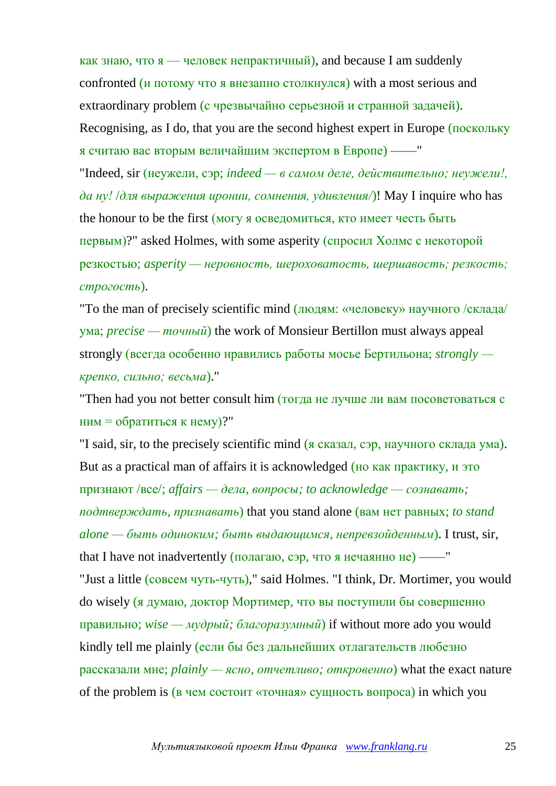как знаю, что  $\mathbf{s}$  — человек непрактичный), and because I am suddenly confronted (и потому что я внезапно столкнулся) with a most serious and extraordinary problem (с чрезвычайно серьезной и странной задачей). Recognising, as I do, that you are the second highest expert in Europe (поскольку я считаю вас вторым величайшим экспертом в Европе) ——"

"Indeed, sir (неужели, сэр; *indeed — в самом деле, действительно; неужели!, да ну!* /*для выражения иронии, сомнения, удивления/*)! May I inquire who has the honour to be the first (могу я осведомиться, кто имеет честь быть первым)?" asked Holmes, with some asperity (спросил Холмс с некоторой резкостью; *asperity — неровность, шероховатость, шершавость; резкость; строгость*).

"To the man of precisely scientific mind (людям: «человеку» научного /склада/ ума; *precise — точный*) the work of Monsieur Bertillon must always appeal strongly (всегда особенно нравились работы мосье Бертильона; *strongly крепко, сильно; весьма*)."

"Then had you not better consult him (тогда не лучше ли вам посоветоваться с ним = обратиться к нему)?"

"I said, sir, to the precisely scientific mind (я сказал, сэр, научного склада ума). But as a practical man of affairs it is acknowledged (но как практику, и это признают /все/; *affairs — дела, вопросы; to acknowledge — сознавать; подтверждать, признавать*) that you stand alone (вам нет равных; *to stand alone — быть одиноким; быть выдающимся, непревзойденным*). I trust, sir, that I have not inadvertently (полагаю, сэр, что я нечаянно не) —— $"$ 

"Just a little (совсем чуть-чуть)," said Holmes. "I think, Dr. Mortimer, you would do wisely (я думаю, доктор Мортимер, что вы поступили бы совершенно правильно; *wise — мудрый; благоразумный*) if without more ado you would kindly tell me plainly (если бы без дальнейших отлагательств любезно рассказали мне; *plainly — ясно, отчетливо; откровенно*) what the exact nature of the problem is (в чем состоит «точная» сущность вопроса) in which you